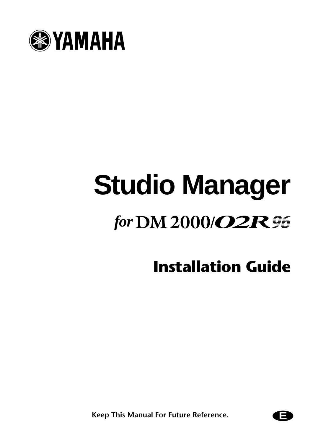

# **Studio Manager** for DM 2000/*O2R* 96

**Installation Guide**

**Keep This Manual For Future Reference.** 

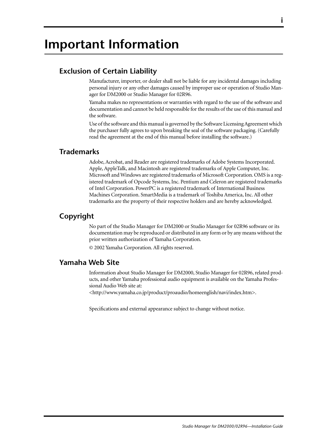# **Important Information**

# **Exclusion of Certain Liability**

Manufacturer, importer, or dealer shall not be liable for any incidental damages including personal injury or any other damages caused by improper use or operation of Studio Manager for DM2000 or Studio Manager for 02R96.

Yamaha makes no representations or warranties with regard to the use of the software and documentation and cannot be held responsible for the results of the use of this manual and the software.

Use of the software and this manual is governed by the Software Licensing Agreement which the purchaser fully agrees to upon breaking the seal of the software packaging. (Carefully read the agreement at the end of this manual before installing the software.)

# **Trademarks**

Adobe, Acrobat, and Reader are registered trademarks of Adobe Systems Incorporated. Apple, AppleTalk, and Macintosh are registered trademarks of Apple Computer, Inc. Microsoft and Windows are registered trademarks of Microsoft Corporation. OMS is a registered trademark of Opcode Systems, Inc. Pentium and Celeron are registered trademarks of Intel Corporation. PowerPC is a registered trademark of International Business Machines Corporation. SmartMedia is a trademark of Toshiba America, Inc. All other trademarks are the property of their respective holders and are hereby acknowledged.

# **Copyright**

No part of the Studio Manager for DM2000 or Studio Manager for 02R96 software or its documentation may be reproduced or distributed in any form or by any means without the prior written authorization of Yamaha Corporation.

© 2002 Yamaha Corporation. All rights reserved.

# **Yamaha Web Site**

Information about Studio Manager for DM2000, Studio Manager for 02R96, related products, and other Yamaha professional audio equipment is available on the Yamaha Professional Audio Web site at:

<http://www.yamaha.co.jp/product/proaudio/homeenglish/navi/index.htm>.

Specifications and external appearance subject to change without notice.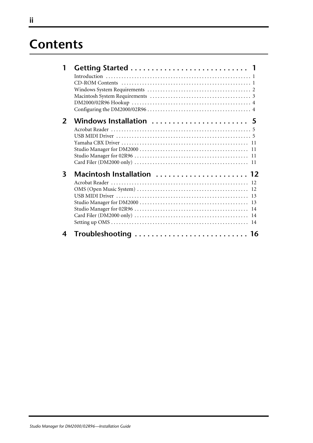# **Contents**

| $\overline{2}$ | Windows Installation  5    |
|----------------|----------------------------|
|                |                            |
|                |                            |
|                |                            |
|                |                            |
|                |                            |
|                |                            |
| 3              | Macintosh Installation  12 |
|                |                            |
|                |                            |
|                |                            |
|                |                            |
|                |                            |
|                |                            |
|                |                            |
| 4              | Troubleshooting  16        |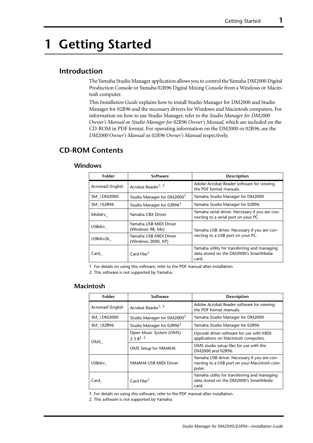# <span id="page-3-0"></span>**1 Getting Started**

# <span id="page-3-1"></span>**Introduction**

The Yamaha Studio Manager application allows you to control the Yamaha DM2000 Digital Production Console or Yamaha 02R96 Digital Mixing Console from a Windows or Macintosh computer.

This *Installation Guide* explains how to install Studio Manager for DM2000 and Studio Manager for 02R96 and the necessary drivers for Windows and Macintosh computers. For information on how to use Studio Manager, refer to the *Studio Manager for DM2000 Owner's Manual* or *Studio Manager for 02R96 Owner's Manual,* which are included on the CD-ROM in PDF format. For operating information on the DM2000 or 02R96, see the *DM2000 Owner's Manual* or *02R96 Owner's Manual* respectively.

# <span id="page-3-2"></span>**CD-ROM Contents**

#### **Windows**

| Folder           | Software                                     | <b>Description</b>                                                                              |
|------------------|----------------------------------------------|-------------------------------------------------------------------------------------------------|
| Acroread\English | Acrobat Reader <sup>1, 2</sup>               | Adobe Acrobat Reader software for viewing<br>the PDF format manuals.                            |
| SM \DM2000       | Studio Manager for DM2000 <sup>1</sup>       | Yamaha Studio Manager for DM2000                                                                |
| SM \02R96        | Studio Manager for 02R96 <sup>1</sup>        | Yamaha Studio Manager for 02R96                                                                 |
| Mididrv          | Yamaha CBX Driver                            | Yamaha serial driver. Necessary if you are con-<br>necting to a serial port on your PC.         |
| USBdrv           | Yamaha USB MIDI Driver<br>(Windows 98, Me)   | Yamaha USB driver. Necessary if you are con-                                                    |
| USBdrv2k         | Yamaha USB MIDI Driver<br>(Windows 2000, XP) | necting to a USB port on your PC.                                                               |
| Card             | Card Filer <sup>1</sup>                      | Yamaha utility for transferring and managing<br>data stored on the DM2000's SmartMedia<br>card. |

1. For details on using this software, refer to the PDF manual after installation.

2. This software is not supported by Yamaha.

#### **Macintosh**

| Folder                          | Software                                   | <b>Description</b>                                                                                     |
|---------------------------------|--------------------------------------------|--------------------------------------------------------------------------------------------------------|
| Acroread\English                | Acrobat Reader <sup>1, 2</sup>             | Adobe Acrobat Reader software for viewing<br>the PDF format manuals.                                   |
| SM \DM2000                      | Studio Manager for DM2000                  | Yamaha Studio Manager for DM2000                                                                       |
| SM \02R96                       | Studio Manager for 02R96 <sup>1</sup>      | Yamaha Studio Manager for 02R96                                                                        |
| OMS                             | Open Music System (OMS)<br>$2, 3, 8^{1,2}$ | Opcode driver software for use with MIDI<br>applications on Macintosh computers.                       |
|                                 | OMS Setup for YAMAHA                       | OMS studio setup files for use with the<br>DM2000 and 02R96.                                           |
| USBdrv                          | YAMAHA USB MIDI Driver                     | Yamaha USB driver. Necessary if you are con-<br>necting to a USB port on your Macintosh com-<br>puter. |
| Card Filer <sup>1</sup><br>Card |                                            | Yamaha utility for transferring and managing<br>data stored on the DM2000's SmartMedia<br>card.        |

1. For details on using this software, refer to the PDF manual after installation.

2. This software is not supported by Yamaha.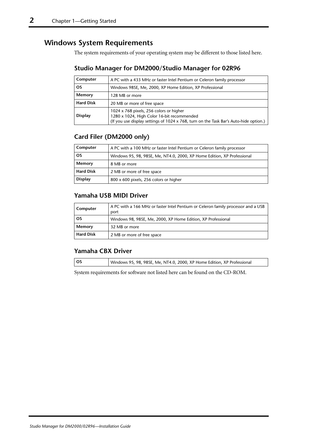# <span id="page-4-0"></span>**Windows System Requirements**

The system requirements of your operating system may be different to those listed here.

# **Studio Manager for DM2000/Studio Manager for 02R96**

| Computer                                                              | A PC with a 433 MHz or faster Intel Pentium or Celeron family processor                                                                                                        |  |
|-----------------------------------------------------------------------|--------------------------------------------------------------------------------------------------------------------------------------------------------------------------------|--|
| <b>OS</b><br>Windows 98SE, Me, 2000, XP Home Edition, XP Professional |                                                                                                                                                                                |  |
| Memory<br>128 MB or more                                              |                                                                                                                                                                                |  |
| <b>Hard Disk</b>                                                      | 20 MB or more of free space                                                                                                                                                    |  |
| <b>Display</b>                                                        | 1024 x 768 pixels, 256 colors or higher<br>1280 x 1024, High Color 16-bit recommended<br>(If you use display settings of 1024 x 768, turn on the Task Bar's Auto-hide option.) |  |

# **Card Filer (DM2000 only)**

| Computer         | A PC with a 100 MHz or faster Intel Pentium or Celeron family processor |
|------------------|-------------------------------------------------------------------------|
| <b>OS</b>        | Windows 95, 98, 98SE, Me, NT4.0, 2000, XP Home Edition, XP Professional |
| Memory           | 8 MB or more                                                            |
| <b>Hard Disk</b> | 2 MB or more of free space                                              |
| <b>Display</b>   | 800 x 600 pixels, 256 colors or higher                                  |

## **Yamaha USB MIDI Driver**

| A PC with a 166 MHz or faster Intel Pentium or Celeron family processor and a USB<br>Computer<br>port |                                                              |
|-------------------------------------------------------------------------------------------------------|--------------------------------------------------------------|
| <b>OS</b>                                                                                             | Windows 98, 98SE, Me, 2000, XP Home Edition, XP Professional |
| Memory                                                                                                | 32 MB or more                                                |
| <b>Hard Disk</b>                                                                                      | 2 MB or more of free space                                   |

# **Yamaha CBX Driver**

| Windows 95, 98, 98SE, Me, NT4.0, 2000, XP Home Edition, XP Professional |
|-------------------------------------------------------------------------|

System requirements for software not listed here can be found on the CD-ROM.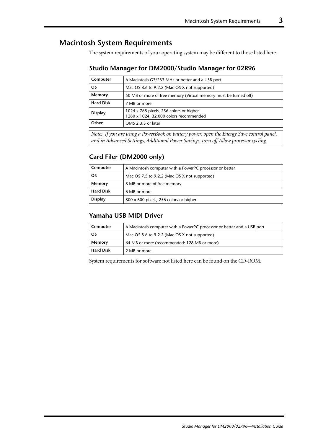# <span id="page-5-0"></span>**Macintosh System Requirements**

The system requirements of your operating system may be different to those listed here.

#### **Studio Manager for DM2000/Studio Manager for 02R96**

| Computer         | A Macintosh G3/233 MHz or better and a USB port                                   |
|------------------|-----------------------------------------------------------------------------------|
| <b>OS</b>        | Mac OS 8.6 to 9.2.2 (Mac OS X not supported)                                      |
| Memory           | 50 MB or more of free memory (Virtual memory must be turned off)                  |
| <b>Hard Disk</b> | 7 MB or more                                                                      |
| <b>Display</b>   | 1024 x 768 pixels, 256 colors or higher<br>1280 x 1024, 32,000 colors recommended |
| Other            | OMS 2.3.3 or later                                                                |

*Note: If you are using a PowerBook on battery power, open the Energy Save control panel, and in Advanced Settings, Additional Power Savings, turn off Allow processor cycling.*

## **Card Filer (DM2000 only)**

| Computer<br>A Macintosh computer with a PowerPC processor or better |                                        |
|---------------------------------------------------------------------|----------------------------------------|
| <b>OS</b><br>Mac OS 7.5 to 9.2.2 (Mac OS X not supported)           |                                        |
| Memory<br>8 MB or more of free memory                               |                                        |
| <b>Hard Disk</b><br>6 MB or more                                    |                                        |
| <b>Display</b>                                                      | 800 x 600 pixels, 256 colors or higher |

#### **Yamaha USB MIDI Driver**

| Computer<br>A Macintosh computer with a PowerPC processor or better and a USB port |                                             |
|------------------------------------------------------------------------------------|---------------------------------------------|
| <b>OS</b><br>Mac OS 8.6 to 9.2.2 (Mac OS X not supported)                          |                                             |
| Memory                                                                             | 64 MB or more (recommended: 128 MB or more) |
| <b>Hard Disk</b>                                                                   | 2 MB or more                                |

System requirements for software not listed here can be found on the CD-ROM.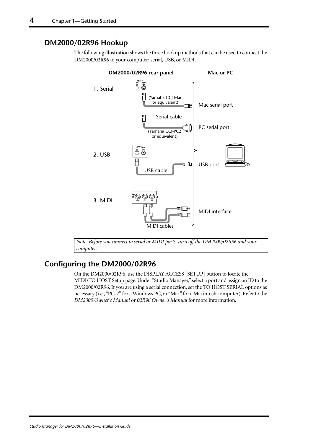# <span id="page-6-0"></span>**DM2000/02R96 Hookup**

The following illustration shows the three hookup methods that can be used to connect the DM2000/02R96 to your computer: serial, USB, or MIDI.



*Note: Before you connect to serial or MIDI ports, turn off the DM2000/02R96 and your computer.*

# <span id="page-6-1"></span>**Configuring the DM2000/02R96**

On the DM2000/02R96, use the DISPLAY ACCESS [SETUP] button to locate the MIDI/TO HOST Setup page. Under "Studio Manager," select a port and assign an ID to the DM2000/02R96. If you are using a serial connection, set the TO HOST SERIAL options as necessary (i.e., "PC-2" for a Windows PC, or "Mac" for a Macintosh computer). Refer to the *DM2000 Owner's Manual* or *02R96 Owner's Manual* for more information.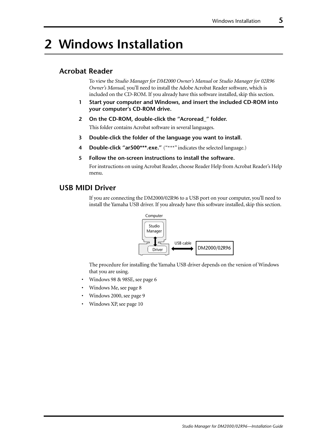# <span id="page-7-0"></span>**2 Windows Installation**

# <span id="page-7-1"></span>**Acrobat Reader**

To view the *Studio Manager for DM2000 Owner's Manual* or *Studio Manager for 02R96 Owner's Manual,* you'll need to install the Adobe Acrobat Reader software, which is included on the CD-ROM. If you already have this software installed, skip this section.

- **1 Start your computer and Windows, and insert the included CD-ROM into your computer's CD-ROM drive.**
- **2 On the CD-ROM, double-click the "Acroread\_" folder.** This folder contains Acrobat software in several languages.
- **3 Double-click the folder of the language you want to install.**
- **4 Double-click "ar500\*\*\*.exe."** ("\*\*\*" indicates the selected language.)
- **5 Follow the on-screen instructions to install the software.**

For instructions on using Acrobat Reader, choose Reader Help from Acrobat Reader's Help menu.

### <span id="page-7-2"></span>**USB MIDI Driver**

If you are connecting the DM2000/02R96 to a USB port on your computer, you'll need to install the Yamaha USB driver. If you already have this software installed, skip this section.



The procedure for installing the Yamaha USB driver depends on the version of Windows that you are using.

- Windows 98 & 98SE, see [page 6](#page-8-0)
- Windows Me, see [page 8](#page-10-0)
- Windows 2000, see [page 9](#page-11-0)
- Windows XP, see [page 10](#page-12-0)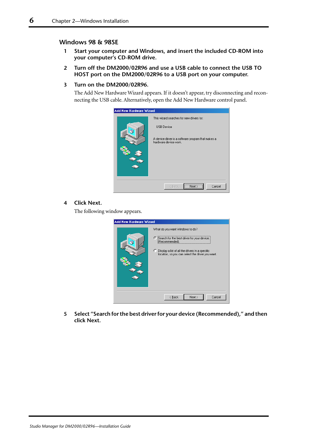#### <span id="page-8-0"></span>**Windows 98 & 98SE**

- **1 Start your computer and Windows, and insert the included CD-ROM into your computer's CD-ROM drive.**
- **2 Turn off the DM2000/02R96 and use a USB cable to connect the USB TO HOST port on the DM2000/02R96 to a USB port on your computer.**

#### **3 Turn on the DM2000/02R96.**

The Add New Hardware Wizard appears. If it doesn't appear, try disconnecting and reconnecting the USB cable. Alternatively, open the Add New Hardware control panel.

| Add New Hardware Wizard |                                                                                                                                               |
|-------------------------|-----------------------------------------------------------------------------------------------------------------------------------------------|
|                         | This wizard searches for new drivers for:<br><b>USB Device</b><br>A device driver is a software program that makes a<br>hardware device work. |
|                         | <br>Cancel<br>< Back                                                                                                                          |

#### **4 Click Next.**

The following window appears.

| <b>Add New Hardware Wizard</b> |                                                                                                                                                                                                             |
|--------------------------------|-------------------------------------------------------------------------------------------------------------------------------------------------------------------------------------------------------------|
|                                | What do you want Windows to do?<br>● Search for the best driver for your device.<br>[Recommended].<br>C Display a list of all the drivers in a specific<br>location, so you can select the driver you want. |
|                                | Cancel<br>Next ><br>< Back                                                                                                                                                                                  |

**5 Select "Search for the best driver for your device (Recommended)," and then click Next.**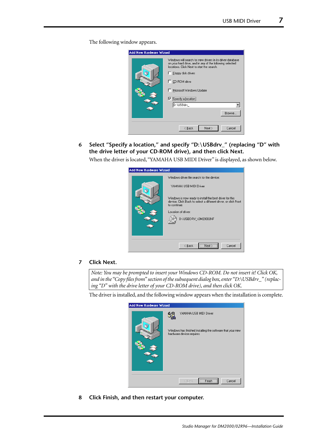The following window appears.

| <b>Add New Hardware Wizard</b> |                                                                                                                                                                      |
|--------------------------------|----------------------------------------------------------------------------------------------------------------------------------------------------------------------|
|                                | Windows will search for new drivers in its driver database<br>on your hard drive, and in any of the following selected<br>locations. Click Next to start the search. |
|                                | F Floppy disk drives                                                                                                                                                 |
|                                | □ CD-ROM drive                                                                                                                                                       |
|                                | Microsoft Windows Update                                                                                                                                             |
|                                | $\nabla$ Specify a location:                                                                                                                                         |
|                                | D:\USBdrv_                                                                                                                                                           |
|                                | Browse                                                                                                                                                               |
|                                |                                                                                                                                                                      |
|                                | Next ><br>< Back<br>Cancel                                                                                                                                           |

**6 Select "Specify a location," and specify "D:\USBdrv\_" (replacing "D" with the drive letter of your CD-ROM drive), and then click Next.**

When the driver is located, "YAMAHA USB MIDI Driver" is displayed, as shown below.

| <b>Add New Hardware Wizard</b> |                                                                                                                                            |
|--------------------------------|--------------------------------------------------------------------------------------------------------------------------------------------|
|                                | Windows driver file search for the device:                                                                                                 |
| л                              | YAMAHA USB MIDI Driver                                                                                                                     |
|                                | Windows is now ready to install the best driver for this<br>device. Click Back to select a different driver, or click Next<br>to continue. |
|                                | Location of driver:                                                                                                                        |
|                                | D:\USBDRV_\DM2000.INF                                                                                                                      |
|                                |                                                                                                                                            |
|                                |                                                                                                                                            |
|                                | Cancel<br>< <u>B</u> ack                                                                                                                   |

#### **7 Click Next.**

*Note: You may be prompted to insert your Windows CD-ROM. Do not insert it! Click OK, and in the "Copy files from" section of the subsequent dialog box, enter "D:\USBdrv\_" (replacing "D" with the drive letter of your CD-ROM drive), and then click OK.*

The driver is installed, and the following window appears when the installation is complete.

| <b>Add New Hardware Wizard</b> |                                                                                         |
|--------------------------------|-----------------------------------------------------------------------------------------|
|                                | YAMAHA USB MIDI Driver                                                                  |
| N.                             | Windows has finished installing the software that your new<br>hardware device requires. |
|                                |                                                                                         |
|                                |                                                                                         |
|                                |                                                                                         |
|                                | <b>Finish</b><br>Cancel<br>< Back                                                       |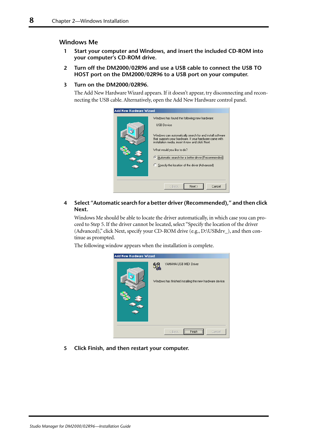#### <span id="page-10-0"></span>**Windows Me**

- **1 Start your computer and Windows, and insert the included CD-ROM into your computer's CD-ROM drive.**
- **2 Turn off the DM2000/02R96 and use a USB cable to connect the USB TO HOST port on the DM2000/02R96 to a USB port on your computer.**

#### **3 Turn on the DM2000/02R96.**

The Add New Hardware Wizard appears. If it doesn't appear, try disconnecting and reconnecting the USB cable. Alternatively, open the Add New Hardware control panel.

| Add New Hardware Wizard |                                                                                                                                                                                                                                                                                                                                                                                      |
|-------------------------|--------------------------------------------------------------------------------------------------------------------------------------------------------------------------------------------------------------------------------------------------------------------------------------------------------------------------------------------------------------------------------------|
|                         | Windows has found the following new hardware:<br><b>USB</b> Device<br>Windows can automatically search for and install software<br>that supports your hardware. If your hardware came with<br>installation media, insert it now and click Next.<br>What would you like to do?<br>© Automatic search for a better driver (Recommen<br>C Specify the location of the driver (Advanced) |
|                         | Next ><br>Cancel<br>< Back                                                                                                                                                                                                                                                                                                                                                           |

#### **4 Select "Automatic search for a better driver (Recommended)," and then click Next.**

Windows Me should be able to locate the driver automatically, in which case you can proceed to Step [5](#page-10-1). If the driver cannot be located, select "Specify the location of the driver (Advanced)," click Next, specify your CD-ROM drive (e.g., D:\USBdrv\_), and then continue as prompted.

<span id="page-10-1"></span>The following window appears when the installation is complete.

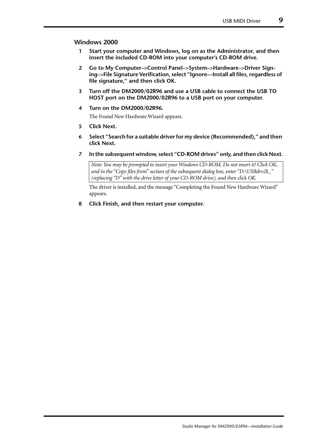#### <span id="page-11-0"></span>**Windows 2000**

- **1 Start your computer and Windows, log on as the Administrator, and then insert the included CD-ROM into your computer's CD-ROM drive.**
- **2 Go to My Computer–>Control Panel–>System–>Hardware–>Driver Signing–>File Signature Verification, select "Ignore—Install all files, regardless of file signature," and then click OK.**
- **3 Turn off the DM2000/02R96 and use a USB cable to connect the USB TO HOST port on the DM2000/02R96 to a USB port on your computer.**
- **4 Turn on the DM2000/02R96.**

The Found New Hardware Wizard appears.

- **5 Click Next.**
- **6 Select "Search for a suitable driver for my device (Recommended)," and then click Next.**
- **7 In the subsequent window, select "CD-ROM drives" only, and then click Next.**

*Note: You may be prompted to insert your Windows CD-ROM. Do not insert it! Click OK, and in the "Copy files from" section of the subsequent dialog box, enter "D:\USBdrv2k\_" (replacing "D" with the drive letter of your CD-ROM drive), and then click OK.*

The driver is installed, and the message "Completing the Found New Hardware Wizard" appears.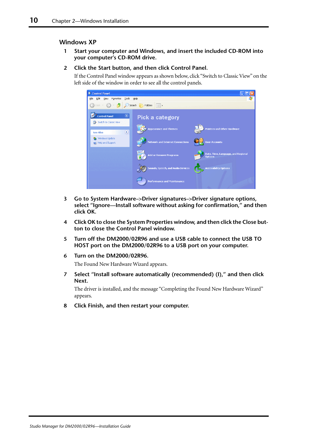#### <span id="page-12-0"></span>**Windows XP**

**1 Start your computer and Windows, and insert the included CD-ROM into your computer's CD-ROM drive.**

#### **2 Click the Start button, and then click Control Panel.**

If the Control Panel window appears as shown below, click "Switch to Classic View" on the left side of the window in order to see all the control panels.

| Control Panel                                                                      |                                         |                                                      |
|------------------------------------------------------------------------------------|-----------------------------------------|------------------------------------------------------|
| Edit<br>Tools<br>Eile<br>Favorites<br>View                                         | Help                                    | 7,                                                   |
| Back - (2) - P                                                                     | Search <b>P</b> Folders        v        |                                                      |
| $\left( \mathbf{\hat{x}}\right)$<br><b>Control Panel</b><br>Switch to Classic View | <b>Pick a category</b>                  |                                                      |
| $\bullet$<br><b>See Also</b>                                                       | <b>Appearance and Themes</b>            | <b>Printers and Other Hardware</b>                   |
| Windows Update<br>(b) Help and Support                                             | <b>Network and Internet Connections</b> | <b>User Accounts</b>                                 |
|                                                                                    | <b>Add or Remove Programs</b>           | Date, Time, Language, and Regional<br><b>Options</b> |
|                                                                                    | Sounds, Speech, and Audio Devices       | <b>Accessibility Options</b>                         |
|                                                                                    | <b>Performance and Maintenance</b>      |                                                      |

- **3 Go to System Hardware–>Driver signatures–>Driver signature options, select "Ignore—Install software without asking for confirmation," and then click OK.**
- **4 Click OK to close the System Properties window, and then click the Close button to close the Control Panel window.**
- **5 Turn off the DM2000/02R96 and use a USB cable to connect the USB TO HOST port on the DM2000/02R96 to a USB port on your computer.**
- **6 Turn on the DM2000/02R96.** The Found New Hardware Wizard appears.
- **7 Select "Install software automatically (recommended) (I)," and then click Next.**

The driver is installed, and the message "Completing the Found New Hardware Wizard" appears.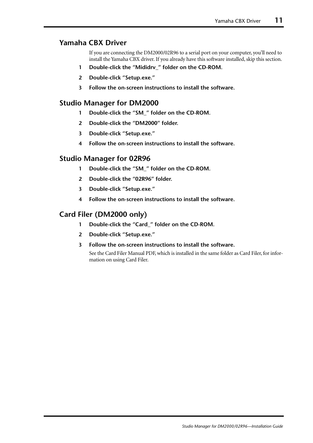# <span id="page-13-0"></span>**Yamaha CBX Driver**

If you are connecting the DM2000/02R96 to a serial port on your computer, you'll need to install the Yamaha CBX driver. If you already have this software installed, skip this section.

- **1 Double-click the "Mididrv\_" folder on the CD-ROM.**
- **2 Double-click "Setup.exe."**
- **3 Follow the on-screen instructions to install the software.**

# <span id="page-13-1"></span>**Studio Manager for DM2000**

- **1 Double-click the "SM\_" folder on the CD-ROM.**
- **2 Double-click the "DM2000" folder.**
- **3 Double-click "Setup.exe."**
- **4 Follow the on-screen instructions to install the software.**

# <span id="page-13-2"></span>**Studio Manager for 02R96**

- **1 Double-click the "SM\_" folder on the CD-ROM.**
- **2 Double-click the "02R96" folder.**
- **3 Double-click "Setup.exe."**
- **4 Follow the on-screen instructions to install the software.**

# <span id="page-13-3"></span>**Card Filer (DM2000 only)**

- **1 Double-click the "Card\_" folder on the CD-ROM.**
- **2 Double-click "Setup.exe."**
- **3 Follow the on-screen instructions to install the software.**

See the Card Filer Manual PDF, which is installed in the same folder as Card Filer, for information on using Card Filer.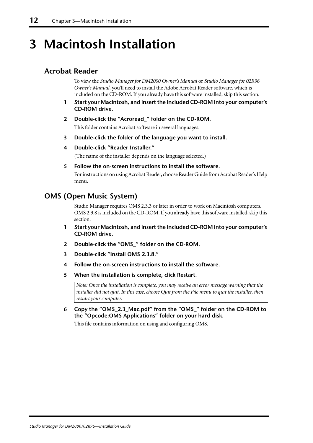# <span id="page-14-0"></span>**3 Macintosh Installation**

# <span id="page-14-1"></span>**Acrobat Reader**

To view the *Studio Manager for DM2000 Owner's Manual* or *Studio Manager for 02R96 Owner's Manual,* you'll need to install the Adobe Acrobat Reader software, which is included on the CD-ROM. If you already have this software installed, skip this section.

- **1 Start your Macintosh, and insert the included CD-ROM into your computer's CD-ROM drive.**
- **2 Double-click the "Acroread\_" folder on the CD-ROM.** This folder contains Acrobat software in several languages.
- **3 Double-click the folder of the language you want to install.**
- **4 Double-click "Reader Installer."**

(The name of the installer depends on the language selected.)

**5 Follow the on-screen instructions to install the software.**

For instructions on using Acrobat Reader, choose Reader Guide from Acrobat Reader's Help menu.

# <span id="page-14-2"></span>**OMS (Open Music System)**

Studio Manager requires OMS 2.3.3 or later in order to work on Macintosh computers. OMS 2.3.8 is included on the CD-ROM. If you already have this software installed, skip this section.

- **1 Start your Macintosh, and insert the included CD-ROM into your computer's CD-ROM drive.**
- **2 Double-click the "OMS\_" folder on the CD-ROM.**
- **3 Double-click "Install OMS 2.3.8."**
- **4 Follow the on-screen instructions to install the software.**
- **5 When the installation is complete, click Restart.**

*Note: Once the installation is complete, you may receive an error message warning that the installer did not quit. In this case, choose Quit from the File menu to quit the installer, then restart your computer.*

**6 Copy the "OMS\_2.3\_Mac.pdf" from the "OMS\_" folder on the CD-ROM to the "Opcode:OMS Applications" folder on your hard disk.**

This file contains information on using and configuring OMS.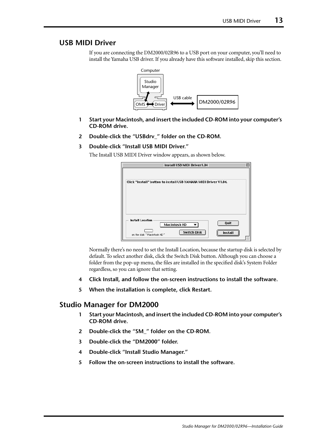# <span id="page-15-0"></span>**USB MIDI Driver**

If you are connecting the DM2000/02R96 to a USB port on your computer, you'll need to install the Yamaha USB driver. If you already have this software installed, skip this section.



- **1 Start your Macintosh, and insert the included CD-ROM into your computer's CD-ROM drive.**
- **2 Double-click the "USBdrv\_" folder on the CD-ROM.**

#### **3 Double-click "Install USB MIDI Driver."**

The Install USB MIDI Driver window appears, as shown below.

| Install USB MIDI Driver1.04                                                                             |  |
|---------------------------------------------------------------------------------------------------------|--|
| Click "Install" button to install USB YAMAHA MIDI Driver V1.04.                                         |  |
| <b>Install Location</b><br>Quit<br>Macintosh HD<br>Switch Disk<br>Install<br>on the disk "Macintosh HD" |  |

Normally there's no need to set the Install Location, because the startup disk is selected by default. To select another disk, click the Switch Disk button. Although you can choose a folder from the pop-up menu, the files are installed in the specified disk's System Folder regardless, so you can ignore that setting.

- **4 Click Install, and follow the on-screen instructions to install the software.**
- **5 When the installation is complete, click Restart.**

# <span id="page-15-1"></span>**Studio Manager for DM2000**

- **1 Start your Macintosh, and insert the included CD-ROM into your computer's CD-ROM drive.**
- **2 Double-click the "SM\_" folder on the CD-ROM.**
- **3 Double-click the "DM2000" folder.**
- **4 Double-click "Install Studio Manager."**
- **5 Follow the on-screen instructions to install the software.**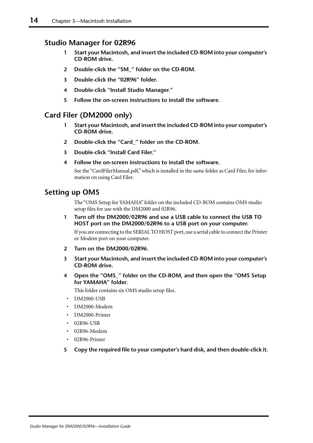# <span id="page-16-0"></span>**Studio Manager for 02R96**

- **1 Start your Macintosh, and insert the included CD-ROM into your computer's CD-ROM drive.**
- **2 Double-click the "SM\_" folder on the CD-ROM.**
- **3 Double-click the "02R96" folder.**
- **4 Double-click "Install Studio Manager."**
- **5 Follow the on-screen instructions to install the software.**

# <span id="page-16-1"></span>**Card Filer (DM2000 only)**

- **1 Start your Macintosh, and insert the included CD-ROM into your computer's CD-ROM drive.**
- **2 Double-click the "Card\_" folder on the CD-ROM.**
- **3 Double-click "Install Card Filer."**
- **4 Follow the on-screen instructions to install the software.**

See the "CardFilerManual.pdf," which is installed in the same folder as Card Filer, for information on using Card Filer.

# <span id="page-16-2"></span>**Setting up OMS**

The "OMS Setup for YAMAHA" folder on the included CD-ROM contains OMS studio setup files for use with the DM2000 and 02R96.

**1 Turn off the DM2000/02R96 and use a USB cable to connect the USB TO HOST port on the DM2000/02R96 to a USB port on your computer.**

If you are connecting to the SERIAL TO HOST port, use a serial cable to connect the Printer or Modem port on your computer.

- **2 Turn on the DM2000/02R96.**
- **3 Start your Macintosh, and insert the included CD-ROM into your computer's CD-ROM drive.**
- **4 Open the "OMS\_" folder on the CD-ROM, and then open the "OMS Setup for YAMAHA" folder.**

This folder contains six OMS studio setup files.

- DM2000-USB
- DM2000-Modem
- DM2000-Printer
- 02R96-USB
- 02R96-Modem
- 02R96-Printer
- **5 Copy the required file to your computer's hard disk, and then double-click it.**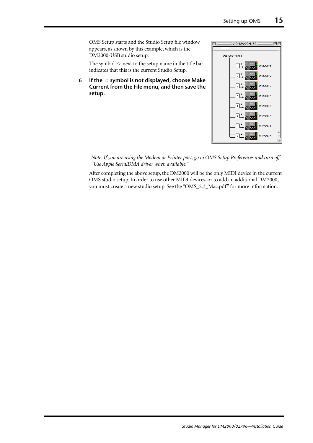OMS Setup starts and the Studio Setup file window appears, as shown by this example, which is the DM2000-USB studio setup.

The symbol  $\Diamond$  next to the setup name in the title bar indicates that this is the current Studio Setup.

**6** If the  $\diamond$  symbol is not displayed, choose Make **Current from the File menu, and then save the setup.**



*Note: If you are using the Modem or Printer port, go to OMS Setup Preferences and turn off "Use Apple SerialDMA driver when available."*

After completing the above setup, the DM2000 will be the only MIDI device in the current OMS studio setup. In order to use other MIDI devices, or to add an additional DM2000, you must create a new studio setup. See the "OMS\_2.3\_Mac.pdf" for more information.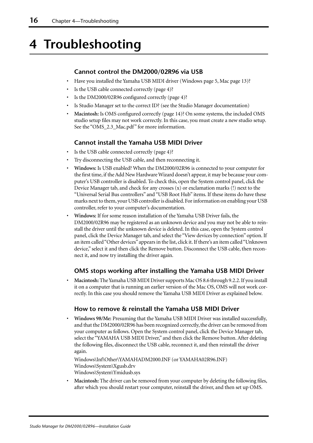# <span id="page-18-0"></span>**4 Troubleshooting**

### **Cannot control the DM2000/02R96 via USB**

- Have you installed the Yamaha USB MIDI driver (Windows [page 5](#page-7-2), Mac [page 13\)](#page-15-0)?
- Is the USB cable connected correctly ([page 4](#page-6-0))?
- Is the DM2000/02R96 configured correctly [\(page 4](#page-6-1))?
- Is Studio Manager set to the correct ID? (see the Studio Manager documentation)
- **Macintosh:** Is OMS configured correctly [\(page 14\)](#page-16-2)? On some systems, the included OMS studio setup files may not work correctly. In this case, you must create a new studio setup. See the "OMS\_2.3\_Mac.pdf" for more information.

### **Cannot install the Yamaha USB MIDI Driver**

- Is the USB cable connected correctly ([page 4](#page-6-0))?
- Try disconnecting the USB cable, and then reconnecting it.
- **Windows:** Is USB enabled? When the DM2000/02R96 is connected to your computer for the first time, if the Add New Hardware Wizard doesn't appear, it may be because your computer's USB controller is disabled. To check this, open the System control panel, click the Device Manager tab, and check for any crosses (x) or exclamation marks (!) next to the "Universal Serial Bus controllers" and "USB Root Hub" items. If these items do have these marks next to them, your USB controller is disabled. For information on enabling your USB controller, refer to your computer's documentation.
- **Windows:** If for some reason installation of the Yamaha USB Driver fails, the DM2000/02R96 may be registered as an unknown device and you may not be able to reinstall the driver until the unknown device is deleted. In this case, open the System control panel, click the Device Manager tab, and select the "View devices by connection" option. If an item called "Other devices" appears in the list, click it. If there's an item called "Unknown device," select it and then click the Remove button. Disconnect the USB cable, then reconnect it, and now try installing the driver again.

### **OMS stops working after installing the Yamaha USB MIDI Driver**

• **Macintosh:** The Yamaha USB MIDI Driver supports Mac OS 8.6 through 9.2.2. If you install it on a computer that is running an earlier version of the Mac OS, OMS will not work correctly. In this case you should remove the Yamaha USB MIDI Driver as explained below.

### **How to remove & reinstall the Yamaha USB MIDI Driver**

• **Windows 98/Me:** Presuming that the Yamaha USB MIDI Driver was installed successfully, and that the DM2000/02R96 has been recognized correctly, the driver can be removed from your computer as follows. Open the System control panel, click the Device Manager tab, select the "YAMAHA USB MIDI Driver," and then click the Remove button. After deleting the following files, disconnect the USB cable, reconnect it, and then reinstall the driver again.

Windows\Inf\Other\YAMAHADM2000.INF (or YAMAHA02R96.INF) Windows\System\Xgusb.drv Windows\System\Ymidusb.sys

• **Macintosh:** The driver can be removed from your computer by deleting the following files, after which you should restart your computer, reinstall the driver, and then set up OMS.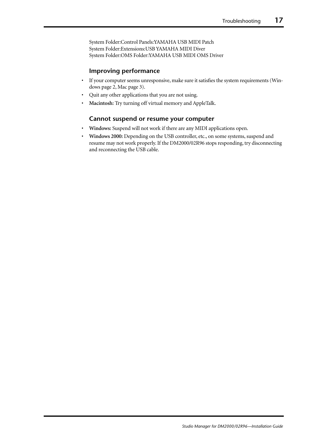System Folder:Control Panels:YAMAHA USB MIDI Patch System Folder:Extensions:USB YAMAHA MIDI Diver System Folder:OMS Folder:YAMAHA USB MIDI OMS Driver

#### **Improving performance**

- If your computer seems unresponsive, make sure it satisfies the system requirements (Windows [page 2](#page-4-0), Mac [page 3\)](#page-5-0).
- Quit any other applications that you are not using.
- **Macintosh:** Try turning off virtual memory and AppleTalk.

### **Cannot suspend or resume your computer**

- **Windows:** Suspend will not work if there are any MIDI applications open.
- **Windows 2000:** Depending on the USB controller, etc., on some systems, suspend and resume may not work properly. If the DM2000/02R96 stops responding, try disconnecting and reconnecting the USB cable.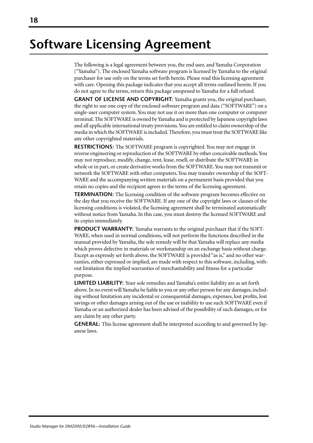# **Software Licensing Agreement**

The following is a legal agreement between you, the end user, and Yamaha Corporation ("Yamaha"). The enclosed Yamaha software program is licensed by Yamaha to the original purchaser for use only on the terms set forth herein. Please read this licensing agreement with care. Opening this package indicates that you accept all terms outlined herein. If you do not agree to the terms, return this package unopened to Yamaha for a full refund.

**GRANT OF LICENSE AND COPYRIGHT:** Yamaha grants you, the original purchaser, the right to use one copy of the enclosed software program and data ("SOFTWARE") on a single-user computer system. You may not use it on more than one computer or computer terminal. The SOFTWARE is owned by Yamaha and is protected by Japanese copyright laws and all applicable international treaty provisions. You are entitled to claim ownership of the media in which the SOFTWARE is included. Therefore, you must treat the SOFTWARE like any other copyrighted materials.

**RESTRICTIONS:** The SOFTWARE program is copyrighted. You may not engage in reverse engineering or reproduction of the SOFTWARE by other conceivable methods. You may not reproduce, modify, change, rent, lease, resell, or distribute the SOFTWARE in whole or in part, or create derivative works from the SOFTWARE. You may not transmit or network the SOFTWARE with other computers. You may transfer ownership of the SOFT-WARE and the accompanying written materials on a permanent basis provided that you retain no copies and the recipient agrees to the terms of the licensing agreement.

**TERMINATION:** The licensing condition of the software program becomes effective on the day that you receive the SOFTWARE. If any one of the copyright laws or clauses of the licensing conditions is violated, the licensing agreement shall be terminated automatically without notice from Yamaha. In this case, you must destroy the licensed SOFTWARE and its copies immediately.

**PRODUCT WARRANTY:** Yamaha warrants to the original purchaser that if the SOFT-WARE, when used in normal conditions, will not perform the functions described in the manual provided by Yamaha, the sole remedy will be that Yamaha will replace any media which proves defective in materials or workmanship on an exchange basis without charge. Except as expressly set forth above, the SOFTWARE is provided "as is," and no other warranties, either expressed or implied, are made with respect to this software, including, without limitation the implied warranties of merchantability and fitness for a particular purpose.

**LIMITED LIABILITY:** Your sole remedies and Yamaha's entire liability are as set forth above. In no event will Yamaha be liable to you or any other person for any damages, including without limitation any incidental or consequential damages, expenses, lost profits, lost savings or other damages arising out of the use or inability to use such SOFTWARE even if Yamaha or an authorized dealer has been advised of the possibility of such damages, or for any claim by any other party.

**GENERAL:** This license agreement shall be interpreted according to and governed by Japanese laws.